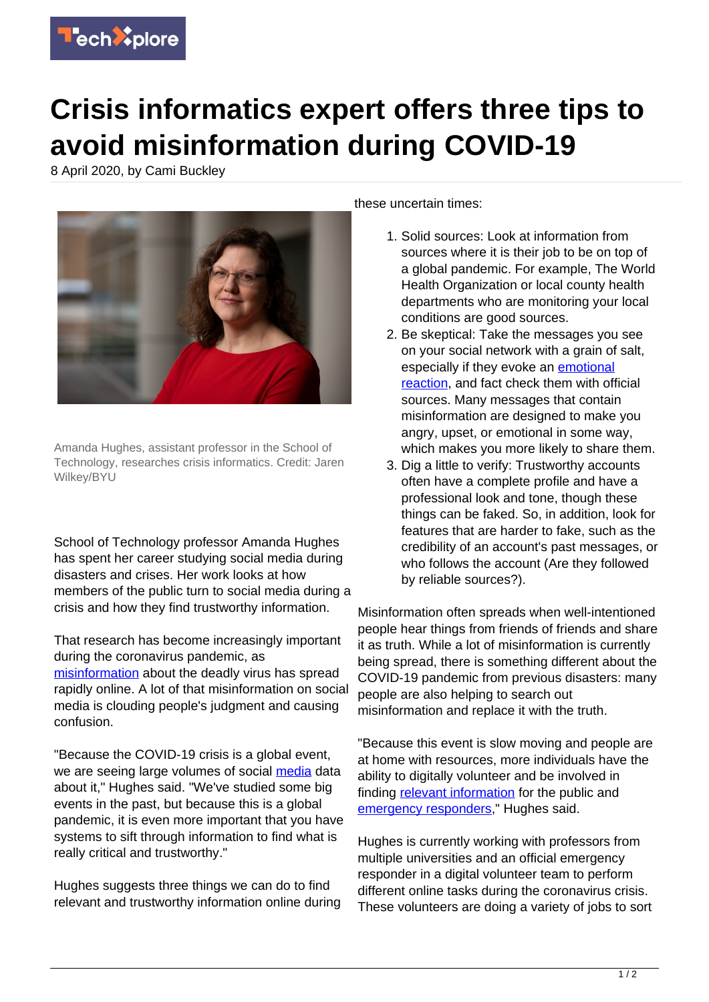

## **Crisis informatics expert offers three tips to avoid misinformation during COVID-19**

8 April 2020, by Cami Buckley



Amanda Hughes, assistant professor in the School of Technology, researches crisis informatics. Credit: Jaren Wilkey/BYU

School of Technology professor Amanda Hughes has spent her career studying social media during disasters and crises. Her work looks at how members of the public turn to social media during a crisis and how they find trustworthy information.

That research has become increasingly important during the coronavirus pandemic, as [misinformation](https://techxplore.com/tags/misinformation/) about the deadly virus has spread rapidly online. A lot of that misinformation on social media is clouding people's judgment and causing confusion.

"Because the COVID-19 crisis is a global event, we are seeing large volumes of social [media](https://techxplore.com/tags/media/) data about it," Hughes said. "We've studied some big events in the past, but because this is a global pandemic, it is even more important that you have systems to sift through information to find what is really critical and trustworthy."

Hughes suggests three things we can do to find relevant and trustworthy information online during these uncertain times:

- 1. Solid sources: Look at information from sources where it is their job to be on top of a global pandemic. For example, The World Health Organization or local county health departments who are monitoring your local conditions are good sources.
- 2. Be skeptical: Take the messages you see on your social network with a grain of salt, especially if they evoke an [emotional](https://techxplore.com/tags/emotional+reaction/) [reaction](https://techxplore.com/tags/emotional+reaction/), and fact check them with official sources. Many messages that contain misinformation are designed to make you angry, upset, or emotional in some way, which makes you more likely to share them.
- 3. Dig a little to verify: Trustworthy accounts often have a complete profile and have a professional look and tone, though these things can be faked. So, in addition, look for features that are harder to fake, such as the credibility of an account's past messages, or who follows the account (Are they followed by reliable sources?).

Misinformation often spreads when well-intentioned people hear things from friends of friends and share it as truth. While a lot of misinformation is currently being spread, there is something different about the COVID-19 pandemic from previous disasters: many people are also helping to search out misinformation and replace it with the truth.

"Because this event is slow moving and people are at home with resources, more individuals have the ability to digitally volunteer and be involved in finding [relevant information](https://techxplore.com/tags/relevant+information/) for the public and [emergency responders,](https://techxplore.com/tags/emergency+responders/)" Hughes said.

Hughes is currently working with professors from multiple universities and an official emergency responder in a digital volunteer team to perform different online tasks during the coronavirus crisis. These volunteers are doing a variety of jobs to sort